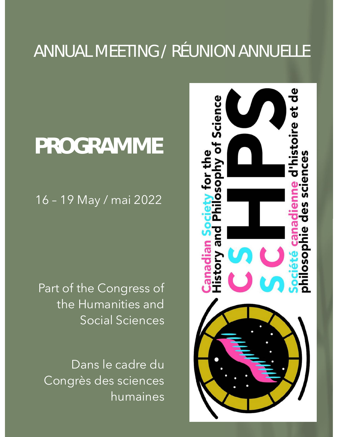# ANNUAL MEETING / RÉUNION ANNUELLE

# **PROGRAMME**

16 – 19 May / mai 2022

Part of the Congress of the Humanities and Social Sciences

Dans le cadre du Congrès des sciences humaines

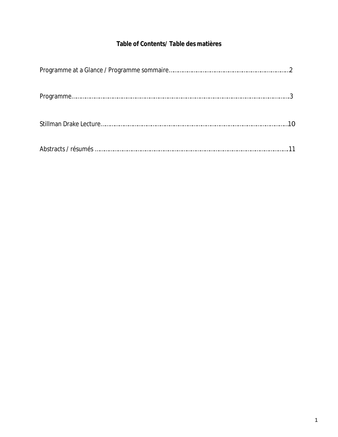## **Table of Contents/ Table des matières**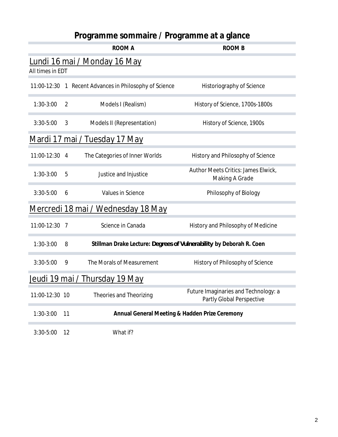# **Programme sommaire / Programme at a glance**

<span id="page-2-0"></span>

|                                |    | <b>ROOM A</b>                                                       | ROOM B                                                            |
|--------------------------------|----|---------------------------------------------------------------------|-------------------------------------------------------------------|
| All times in EDT               |    | <u>Lundi 16 mai / Monday 16 May</u>                                 |                                                                   |
|                                |    | 11:00-12:30 1 Recent Advances in Philosophy of Science              | Historiography of Science                                         |
| $1:30-3:00$                    | 2  | Models I (Realism)                                                  | History of Science, 1700s-1800s                                   |
| $3:30 - 5:00$                  | 3  | Models II (Representation)                                          | History of Science, 1900s                                         |
|                                |    | <u> Mardi 17 mai / Tuesday 17 May</u>                               |                                                                   |
| 11:00-12:30 4                  |    | The Categories of Inner Worlds                                      | History and Philosophy of Science                                 |
| $1:30-3:00$                    | 5  | Justice and Injustice                                               | Author Meets Critics: James Elwick,<br><b>Making A Grade</b>      |
| $3:30 - 5:00$                  | 6  | Values in Science                                                   | Philosophy of Biology                                             |
|                                |    | <u>Mercredi 18 mai / Wednesday 18 May</u>                           |                                                                   |
| 11:00-12:30 7                  |    | Science in Canada                                                   | History and Philosophy of Medicine                                |
| $1:30-3:00$                    | 8  | Stillman Drake Lecture: Degrees of Vulnerability by Deborah R. Coen |                                                                   |
| $3:30-5:00$                    | 9  | The Morals of Measurement                                           | History of Philosophy of Science                                  |
| Jeudi 19 mai / Thursday 19 May |    |                                                                     |                                                                   |
| 11:00-12:30 10                 |    | Theories and Theorizing                                             | Future Imaginaries and Technology: a<br>Partly Global Perspective |
| $1:30-3:00$                    | 11 | Annual General Meeting & Hadden Prize Ceremony                      |                                                                   |
| $3:30 - 5:00$                  | 12 | What if?                                                            |                                                                   |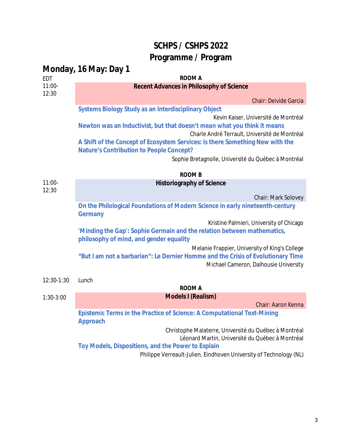## **SCHPS / CSHPS 2022 Programme / Program**

<span id="page-3-0"></span>

|                   | Monday, 16 May: Day 1                                                                                            |
|-------------------|------------------------------------------------------------------------------------------------------------------|
| EDT               | <b>ROOM A</b>                                                                                                    |
| $11:00 -$         | Recent Advances in Philosophy of Science                                                                         |
| 12:30             |                                                                                                                  |
|                   | <b>Chair: Deivide Garcia</b>                                                                                     |
|                   | Systems Biology Study as an Interdisciplinary Object                                                             |
|                   | Kevin Kaiser, Université de Montréal<br>Newton was an Inductivist, but that doesn't mean what you think it means |
|                   | Charle André Terrault, Université de Montréal                                                                    |
|                   | A Shift of the Concept of Ecosystem Services: is there Something New with the                                    |
|                   | Nature's Contribution to People Concept?                                                                         |
|                   | Sophie Bretagnolle, Université du Québec à Montréal                                                              |
|                   |                                                                                                                  |
|                   | <b>ROOM B</b>                                                                                                    |
| $11:00-$<br>12:30 | Historiography of Science                                                                                        |
|                   | <b>Chair: Mark Solovey</b>                                                                                       |
|                   | On the Philological Foundations of Modern Science in early nineteenth-century                                    |
|                   | Germany                                                                                                          |
|                   | Kristine Palmieri, University of Chicago                                                                         |
|                   | 'Minding the Gap': Sophie Germain and the relation between mathematics,                                          |
|                   | philosophy of mind, and gender equality                                                                          |
|                   | Melanie Frappier, University of King's College                                                                   |
|                   | "But I am not a barbarian": Le Dernier Homme and the Crisis of Evolutionary Time                                 |
|                   | Michael Cameron, Dalhousie University                                                                            |
| 12:30-1:30        | Lunch                                                                                                            |
|                   | <b>ROOM A</b>                                                                                                    |
| $1:30-3:00$       | Models I (Realism)                                                                                               |
|                   | Chair: Aaron Kenna                                                                                               |
|                   | Epistemic Terms in the Practice of Science: A Computational Text-Mining                                          |
|                   | Approach                                                                                                         |
|                   | Christophe Malaterre, Université du Québec à Montréal                                                            |
|                   | Léonard Martin, Université du Québec à Montréal                                                                  |
|                   | Toy Models, Dispositions, and the Power to Explain                                                               |
|                   | Philippe Verreault-Julien, Eindhoven University of Technology (NL)                                               |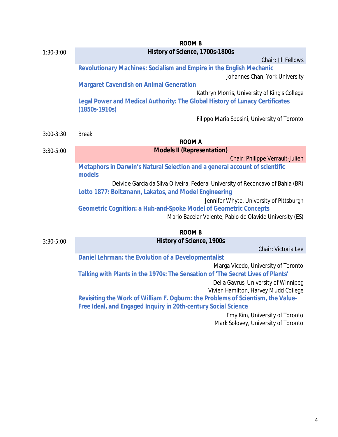|             | <b>ROOM B</b>                                                                                   |
|-------------|-------------------------------------------------------------------------------------------------|
| $1:30-3:00$ | History of Science, 1700s-1800s                                                                 |
|             | Chair: Jill Fellows                                                                             |
|             | Revolutionary Machines: Socialism and Empire in the English Mechanic                            |
|             | Johannes Chan, York University                                                                  |
|             | <b>Margaret Cavendish on Animal Generation</b>                                                  |
|             | Kathryn Morris, University of King's College                                                    |
|             | Legal Power and Medical Authority: The Global History of Lunacy Certificates<br>$(1850s-1910s)$ |
|             | Filippo Maria Sposini, University of Toronto                                                    |
| $3:00-3:30$ | <b>Break</b>                                                                                    |
|             | ROOM A                                                                                          |
| $3:30-5:00$ | <b>Models II (Representation)</b>                                                               |
|             | Chair: Philippe Verrault-Julien                                                                 |
|             | Metaphors in Darwin's Natural Selection and a general account of scientific<br>models           |
|             | Deivide Garcia da Silva Oliveira, Federal University of Reconcavo of Bahia (BR)                 |
|             | Lotto 1877: Boltzmann, Lakatos, and Model Engineering                                           |
|             | Jennifer Whyte, University of Pittsburgh                                                        |
|             | Geometric Cognition: a Hub-and-Spoke Model of Geometric Concepts                                |
|             | Mario Bacelar Valente, Pablo de Olavide University (ES)                                         |
|             | <b>ROOM B</b>                                                                                   |
| $3:30-5:00$ | History of Science, 1900s                                                                       |
|             | Chair: Victoria Lee                                                                             |
|             | Daniel Lehrman: the Evolution of a Developmentalist                                             |
|             | Marga Vicedo, University of Toronto                                                             |
|             | Talking with Plants in the 1970s: The Sensation of 'The Secret Lives of Plants'                 |
|             | Della Gavrus, University of Winnipeg<br>Vivien Hamilton, Harvey Mudd College                    |
|             | Revisiting the Work of William F. Ogburn: the Problems of Scientism, the Value-                 |
|             | Free Ideal, and Engaged Inquiry in 20th-century Social Science                                  |
|             | Emy Kim, University of Toronto                                                                  |
|             | Mark Solovey, University of Toronto                                                             |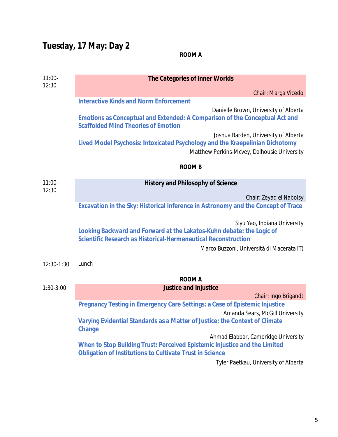# **Tuesday, 17 May: Day 2**

## **ROOM A**

| $11:00-$<br>12:30 | The Categories of Inner Worlds                                                                                                                                          |
|-------------------|-------------------------------------------------------------------------------------------------------------------------------------------------------------------------|
|                   | Chair: Marga Vicedo                                                                                                                                                     |
|                   | <b>Interactive Kinds and Norm Enforcement</b>                                                                                                                           |
|                   | Danielle Brown, University of Alberta<br>Emotions as Conceptual and Extended: A Comparison of the Conceptual Act and<br><b>Scaffolded Mind Theories of Emotion</b>      |
|                   | Joshua Barden, University of Alberta<br>Lived Model Psychosis: Intoxicated Psychology and the Kraepelinian Dichotomy<br>Matthew Perkins-Mcvey, Dalhousie University     |
|                   | ROOM B                                                                                                                                                                  |
| $11:00-$<br>12:30 | History and Philosophy of Science                                                                                                                                       |
|                   | Chair: Zeyad el Nabolsy                                                                                                                                                 |
|                   | Excavation in the Sky: Historical Inference in Astronomy and the Concept of Trace                                                                                       |
|                   |                                                                                                                                                                         |
|                   | Siyu Yao, Indiana University<br>Looking Backward and Forward at the Lakatos-Kuhn debate: the Logic of<br>Scientific Research as Historical-Hermeneutical Reconstruction |
|                   | Marco Buzzoni, Università di Macerata IT)                                                                                                                               |
| 12:30-1:30        | Lunch                                                                                                                                                                   |
|                   | <b>ROOM A</b>                                                                                                                                                           |
| $1:30-3:00$       | Justice and Injustice                                                                                                                                                   |
|                   | Chair: Ingo Brigandt                                                                                                                                                    |
|                   | Pregnancy Testing in Emergency Care Settings: a Case of Epistemic Injustice                                                                                             |
|                   | Amanda Sears, McGill University                                                                                                                                         |
|                   | Varying Evidential Standards as a Matter of Justice: the Context of Climate<br>Change                                                                                   |
|                   | Ahmad Elabbar, Cambridge University                                                                                                                                     |
|                   | When to Stop Building Trust: Perceived Epistemic Injustice and the Limited<br>Obligation of Institutions to Cultivate Trust in Science                                  |
|                   | Tyler Paetkau, University of Alberta                                                                                                                                    |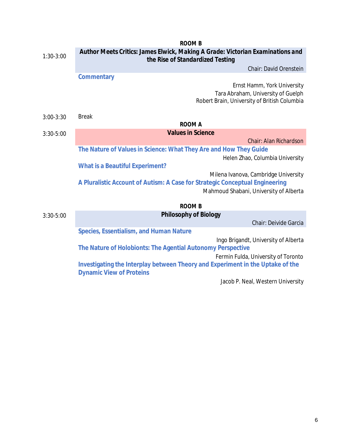|               | <b>ROOM B</b>                                                                                                      |
|---------------|--------------------------------------------------------------------------------------------------------------------|
| $1:30-3:00$   | Author Meets Critics: James Elwick, Making A Grade: Victorian Examinations and<br>the Rise of Standardized Testing |
|               | Chair: David Orenstein                                                                                             |
|               | Commentary                                                                                                         |
|               | Ernst Hamm, York University                                                                                        |
|               | Tara Abraham, University of Guelph                                                                                 |
|               | Robert Brain, University of British Columbia                                                                       |
|               |                                                                                                                    |
| $3:00-3:30$   | <b>Break</b><br><b>ROOM A</b>                                                                                      |
|               | <b>Values in Science</b>                                                                                           |
| $3:30-5:00$   | Chair: Alan Richardson                                                                                             |
|               | The Nature of Values in Science: What They Are and How They Guide                                                  |
|               | Helen Zhao, Columbia University                                                                                    |
|               | What is a Beautiful Experiment?                                                                                    |
|               | Milena Ivanova, Cambridge University                                                                               |
|               | A Pluralistic Account of Autism: A Case for Strategic Conceptual Engineering                                       |
|               | Mahmoud Shabani, University of Alberta                                                                             |
|               |                                                                                                                    |
|               | <b>ROOM B</b>                                                                                                      |
| $3:30 - 5:00$ | Philosophy of Biology                                                                                              |
|               | Chair: Deivide Garcia                                                                                              |
|               | Species, Essentialism, and Human Nature                                                                            |
|               | Ingo Brigandt, University of Alberta                                                                               |
|               | The Nature of Holobionts: The Agential Autonomy Perspective                                                        |
|               | Fermin Fulda, University of Toronto                                                                                |
|               | Investigating the Interplay between Theory and Experiment in the Uptake of the                                     |
|               | <b>Dynamic View of Proteins</b>                                                                                    |
|               | Jacob P. Neal, Western University                                                                                  |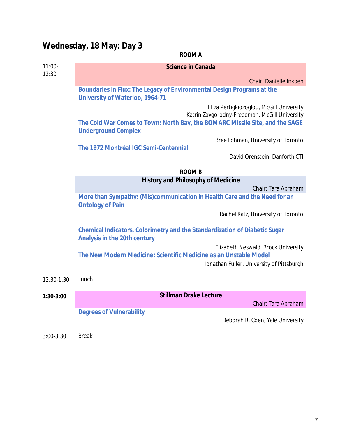# **Wednesday, 18 May: Day 3**

|                   | ROOM A                                                                                                     |
|-------------------|------------------------------------------------------------------------------------------------------------|
| $11:00-$<br>12:30 | Science in Canada                                                                                          |
|                   | Chair: Danielle Inkpen                                                                                     |
|                   | Boundaries in Flux: The Legacy of Environmental Design Programs at the<br>University of Waterloo, 1964-71  |
|                   | Eliza Pertigkiozoglou, McGill University<br>Katrin Zavgorodny-Freedman, McGill University                  |
|                   | The Cold War Comes to Town: North Bay, the BOMARC Missile Site, and the SAGE<br><b>Underground Complex</b> |
|                   | Bree Lohman, University of Toronto<br>The 1972 Montréal IGC Semi-Centennial                                |
|                   | David Orenstein, Danforth CTI                                                                              |
|                   | <b>ROOM B</b>                                                                                              |
|                   | History and Philosophy of Medicine                                                                         |
|                   | Chair: Tara Abraham<br>More than Sympathy: (Mis)communication in Health Care and the Need for an           |
|                   | <b>Ontology of Pain</b>                                                                                    |
|                   | Rachel Katz, University of Toronto                                                                         |
|                   | Chemical Indicators, Colorimetry and the Standardization of Diabetic Sugar<br>Analysis in the 20th century |
|                   | Elizabeth Neswald, Brock University<br>The New Modern Medicine: Scientific Medicine as an Unstable Model   |
|                   | Jonathan Fuller, University of Pittsburgh                                                                  |
| 12:30-1:30        | Lunch                                                                                                      |
| $1:30-3:00$       | Stillman Drake Lecture                                                                                     |
|                   | Chair: Tara Abraham                                                                                        |
|                   | <b>Degrees of Vulnerability</b><br>Deborah R. Coen, Yale University                                        |
| $3:00-3:30$       | <b>Break</b>                                                                                               |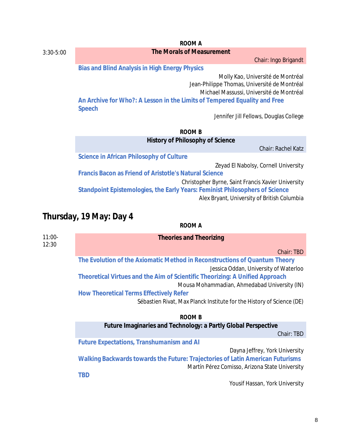|               | ROOM A                                                                                                                             |
|---------------|------------------------------------------------------------------------------------------------------------------------------------|
| $3:30 - 5:00$ | The Morals of Measurement                                                                                                          |
|               | Chair: Ingo Brigandt                                                                                                               |
|               | Bias and Blind Analysis in High Energy Physics                                                                                     |
|               | Molly Kao, Université de Montréal<br>Jean-Philippe Thomas, Université de Montréal                                                  |
|               | Michael Massussi, Université de Montréal                                                                                           |
|               | An Archive for Who?: A Lesson in the Limits of Tempered Equality and Free<br>Speech                                                |
|               | Jennifer Jill Fellows, Douglas College                                                                                             |
|               | ROOM B                                                                                                                             |
|               | History of Philosophy of Science                                                                                                   |
|               | Chair: Rachel Katz                                                                                                                 |
|               | Science in African Philosophy of Culture                                                                                           |
|               | Zeyad El Nabolsy, Cornell University                                                                                               |
|               | Francis Bacon as Friend of Aristotle's Natural Science                                                                             |
|               | Christopher Byrne, Saint Francis Xavier University<br>Standpoint Epistemologies, the Early Years: Feminist Philosophers of Science |
|               | Alex Bryant, University of British Columbia                                                                                        |
|               | Thursday, 19 May: Day 4                                                                                                            |
|               | ROOM A                                                                                                                             |

| $11:00-$<br>12:30 | <b>Theories and Theorizing</b>                                                 |
|-------------------|--------------------------------------------------------------------------------|
|                   | Chair: TBD                                                                     |
|                   | The Evolution of the Axiomatic Method in Reconstructions of Quantum Theory     |
|                   | Jessica Oddan, University of Waterloo                                          |
|                   | Theoretical Virtues and the Aim of Scientific Theorizing: A Unified Approach   |
|                   | Mousa Mohammadian, Ahmedabad University (IN)                                   |
|                   | <b>How Theoretical Terms Effectively Refer</b>                                 |
|                   | Sébastien Rivat, Max Planck Institute for the History of Science (DE)          |
|                   | ROOM B                                                                         |
|                   | Future Imaginaries and Technology: a Partly Global Perspective                 |
|                   | Chair: TBD                                                                     |
|                   | <b>Future Expectations, Transhumanism and AI</b>                               |
|                   | Dayna Jeffrey, York University                                                 |
|                   | Walking Backwards towards the Future: Trajectories of Latin American Futurisms |
|                   | Martín Pérez Comisso, Arizona State University                                 |
|                   | <b>TBD</b>                                                                     |
|                   | Yousif Hassan, York University                                                 |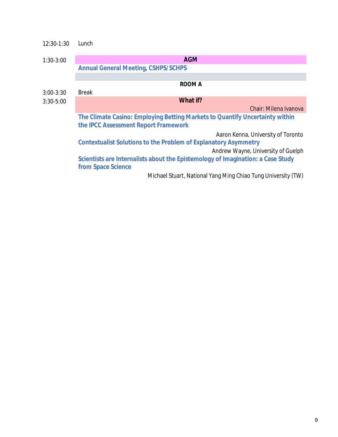| 12:30-1:30  | Lunch                                                                                                                |
|-------------|----------------------------------------------------------------------------------------------------------------------|
| $1:30-3:00$ | <b>AGM</b>                                                                                                           |
|             | <b>Annual General Meeting, CSHPS/SCHPS</b>                                                                           |
|             |                                                                                                                      |
|             | ROOM A                                                                                                               |
| $3:00-3:30$ | <b>Break</b>                                                                                                         |
| $3:30-5:00$ | What if?                                                                                                             |
|             | Chair: Milena Ivanova                                                                                                |
|             | The Climate Casino: Employing Betting Markets to Quantify Uncertainty within<br>the IPCC Assessment Report Framework |
|             | Aaron Kenna, University of Toronto                                                                                   |
|             | Contextualist Solutions to the Problem of Explanatory Asymmetry                                                      |
|             | Andrew Wayne, University of Guelph                                                                                   |
|             | Scientists are Internalists about the Epistemology of Imagination: a Case Study                                      |
|             | from Space Science                                                                                                   |
|             | Michael Stuart, National Yang Ming Chiao Tung University (TW)                                                        |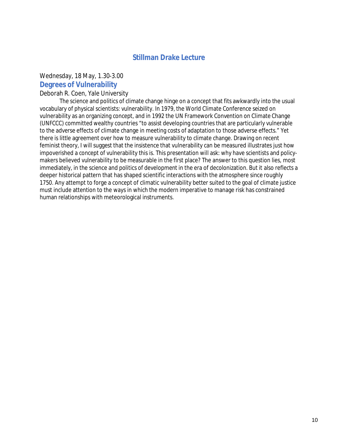#### **Stillman Drake Lecture**

#### <span id="page-10-0"></span>Wednesday, 18 May, 1.30-3.00

#### **Degrees of Vulnerability**

#### Deborah R. Coen, Yale University

The science and politics of climate change hinge on a concept that fits awkwardly into the usual vocabulary of physical scientists: vulnerability. In 1979, the World Climate Conference seized on vulnerability as an organizing concept, and in 1992 the UN Framework Convention on Climate Change (UNFCCC) committed wealthy countries "to assist developing countries that are particularly vulnerable to the adverse effects of climate change in meeting costs of adaptation to those adverse effects." Yet there is little agreement over how to measure vulnerability to climate change. Drawing on recent feminist theory, I will suggest that the insistence that vulnerability can be measured illustrates just how impoverished a concept of vulnerability this is. This presentation will ask: why have scientists and policymakers believed vulnerability to be measurable in the first place? The answer to this question lies, most immediately, in the science and politics of development in the era of decolonization. But it also reflects a deeper historical pattern that has shaped scientific interactions with the atmosphere since roughly 1750. Any attempt to forge a concept of climatic vulnerability better suited to the goal of climate justice must include attention to the ways in which the modern imperative to manage risk has constrained human relationships with meteorological instruments.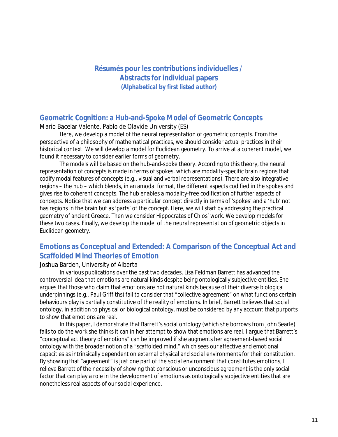## <span id="page-11-0"></span>**Résumés pour les contributions individuelles / Abstracts for individual papers** *(Alphabetical by first listed author)*

## **Geometric Cognition: a Hub-and-Spoke Model of Geometric Concepts**

Mario Bacelar Valente, Pablo de Olavide University (ES)

Here, we develop a model of the neural representation of geometric concepts. From the perspective of a philosophy of mathematical practices, we should consider actual practices in their historical context. We will develop a model for Euclidean geometry. To arrive at a coherent model, we found it necessary to consider earlier forms of geometry.

The models will be based on the hub-and-spoke theory. According to this theory, the neural representation of concepts is made in terms of spokes, which are modality-specific brain regions that codify modal features of concepts (e.g., visual and verbal representations). There are also integrative regions – the hub – which blends, in an amodal format, the different aspects codified in the spokes and gives rise to coherent concepts. The hub enables a modality-free codification of further aspects of concepts. Notice that we can address a particular concept directly in terms of 'spokes' and a 'hub' not has regions in the brain but as 'parts' of the concept. Here, we will start by addressing the practical geometry of ancient Greece. Then we consider Hippocrates of Chios' work. We develop models for these two cases. Finally, we develop the model of the neural representation of geometric objects in Euclidean geometry.

## **Emotions as Conceptual and Extended: A Comparison of the Conceptual Act and Scaffolded Mind Theories of Emotion**

#### Joshua Barden, University of Alberta

In various publications over the past two decades, Lisa Feldman Barrett has advanced the controversial idea that emotions are natural kinds despite being ontologically subjective entities. She argues that those who claim that emotions are not natural kinds because of their diverse biological underpinnings (e.g., Paul Griffiths) fail to consider that "collective agreement" on what functions certain behaviours play is partially constitutive of the reality of emotions. In brief, Barrett believes that social ontology, in addition to physical or biological ontology, must be considered by any account that purports to show that emotions are real.

In this paper, I demonstrate that Barrett's social ontology (which she borrows from John Searle) fails to do the work she thinks it can in her attempt to show that emotions are real. I argue that Barrett's "conceptual act theory of emotions" can be improved if she augments her agreement-based social ontology with the broader notion of a "scaffolded mind," which sees our affective and emotional capacities as intrinsically dependent on external physical and social environments for their constitution. By showing that "agreement" is just one part of the social environment that constitutes emotions, I relieve Barrett of the necessity of showing that conscious or unconscious agreement is the only social factor that can play a role in the development of emotions as ontologically subjective entities that are nonetheless real aspects of our social experience.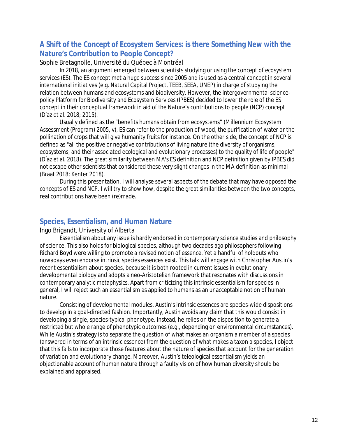## **A Shift of the Concept of Ecosystem Services: is there Something New with the Nature's Contribution to People Concept?**

#### Sophie Bretagnolle, Université du Québec à Montréal

In 2018, an argument emerged between scientists studying or using the concept of ecosystem services (ES). The ES concept met a huge success since 2005 and is used as a central concept in several international initiatives (e.g. Natural Capital Project, TEEB, SEEA, UNEP) in charge of studying the relation between humans and ecosystems and biodiversity. However, the Intergovernmental sciencepolicy Platform for Biodiversity and Ecosystem Services (IPBES) decided to lower the role of the ES concept in their conceptual framework in aid of the Nature's contributions to people (NCP) concept (Díaz et al. 2018; 2015).

Usually defined as the "benefits humans obtain from ecosystems" (Millennium Ecosystem Assessment (Program) 2005, v), ES can refer to the production of wood, the purification of water or the pollination of crops that will give humanity fruits for instance. On the other side, the concept of NCP is defined as "all the positive or negative contributions of living nature (the diversity of organisms, ecosystems, and their associated ecological and evolutionary processes) to the quality of life of people" (Díaz et al. 2018). The great similarity between MA's ES definition and NCP definition given by IPBES did not escape other scientists that considered these very slight changes in the MA definition as minimal (Braat 2018; Kenter 2018).

During this presentation, I will analyse several aspects of the debate that may have opposed the concepts of ES and NCP. I will try to show how, despite the great similarities between the two concepts, real contributions have been (re)made.

## **Species, Essentialism, and Human Nature**

#### Ingo Brigandt, University of Alberta

Essentialism about any issue is hardly endorsed in contemporary science studies and philosophy of science. This also holds for biological species, although two decades ago philosophers following Richard Boyd were willing to promote a revised notion of essence. Yet a handful of holdouts who nowadays even endorse intrinsic species essences exist. This talk will engage with Christopher Austin's recent essentialism about species, because it is both rooted in current issues in evolutionary developmental biology and adopts a neo-Aristotelian framework that resonates with discussions in contemporary analytic metaphysics. Apart from criticizing this intrinsic essentialism for species in general, I will reject such an essentialism as applied to humans as an unacceptable notion of human nature.

Consisting of developmental modules, Austin's intrinsic essences are species-wide dispositions to develop in a goal-directed fashion. Importantly, Austin avoids any claim that this would consist in developing a single, species-typical phenotype. Instead, he relies on the disposition to generate a restricted but whole range of phenotypic outcomes (e.g., depending on environmental circumstances). While Austin's strategy is to separate the question of what makes an organism a member of a species (answered in terms of an intrinsic essence) from the question of what makes a taxon a species, I object that this fails to incorporate those features about the nature of species that account for the generation of variation and evolutionary change. Moreover, Austin's teleological essentialism yields an objectionable account of human nature through a faulty vision of how human diversity should be explained and appraised.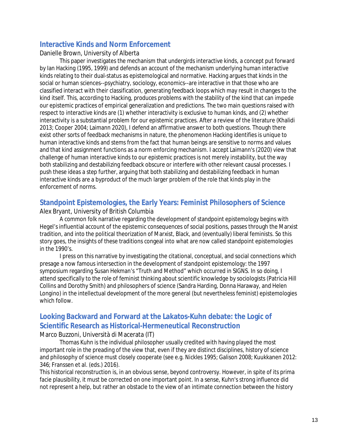## **Interactive Kinds and Norm Enforcement**

#### Danielle Brown, University of Alberta

This paper investigates the mechanism that undergirds interactive kinds, a concept put forward by Ian Hacking (1995, 1999) and defends an account of the mechanism underlying human interactive kinds relating to their dual-status as epistemological and normative. Hacking argues that kinds in the social or human sciences--psychiatry, sociology, economics--are interactive in that those who are classified interact with their classification, generating feedback loops which may result in changes to the kind itself. This, according to Hacking, produces problems with the stability of the kind that can impede our epistemic practices of empirical generalization and predictions. The two main questions raised with respect to interactive kinds are (1) whether interactivity is exclusive to human kinds, and (2) whether interactivity is a substantial problem for our epistemic practices. After a review of the literature (Khalidi 2013; Cooper 2004; Laimann 2020), I defend an affirmative answer to both questions. Though there exist other sorts of feedback mechanisms in nature, the phenomenon Hacking identifies is unique to human interactive kinds and stems from the fact that human beings are sensitive to norms and values and that kind assignment functions as a norm enforcing mechanism. I accept Laimann's (2020) view that challenge of human interactive kinds to our epistemic practices is not merely instability, but the way both stabilizing and destabilizing feedback obscure or interfere with other relevant causal processes. I push these ideas a step further, arguing that both stabilizing and destabilizing feedback in human interactive kinds are a byproduct of the much larger problem of the role that kinds play in the enforcement of norms.

## **Standpoint Epistemologies, the Early Years: Feminist Philosophers of Science**

#### Alex Bryant, University of British Columbia

A common folk narrative regarding the development of standpoint epistemology begins with Hegel's influential account of the epistemic consequences of social positions, passes through the Marxist tradition, and into the political theorization of Marxist, Black, and (eventually) liberal feminists. So this story goes, the insights of these traditions congeal into what are now called standpoint epistemologies in the 1990's.

I press on this narrative by investigating the citational, conceptual, and social connections which presage a now famous intersection in the development of standpoint epistemology: the 1997 symposium regarding Susan Hekman's "Truth and Method" which occurred in SIGNS. In so doing, I attend specifically to the role of feminist thinking about scientific knowledge by sociologists (Patricia Hill Collins and Dorothy Smith) and philosophers of science (Sandra Harding, Donna Haraway, and Helen Longino) in the intellectual development of the more general (but nevertheless feminist) epistemologies which follow.

## **Looking Backward and Forward at the Lakatos-Kuhn debate: the Logic of Scientific Research as Historical-Hermeneutical Reconstruction**

#### Marco Buzzoni, Università di Macerata (IT)

Thomas Kuhn is the individual philosopher usually credited with having played the most important role in the preading of the view that, even if they are distinct disciplines, history of science and philosophy of science must closely cooperate (see e.g. Nickles 1995; Galison 2008; Kuukkanen 2012: 346; Franssen et al. (eds.) 2016).

This historical reconstruction is, in an obvious sense, beyond controversy. However, in spite of its prima facie plausibility, it must be corrected on one important point. In a sense, Kuhn's strong influence did not represent a help, but rather an obstacle to the view of an intimate connection between the history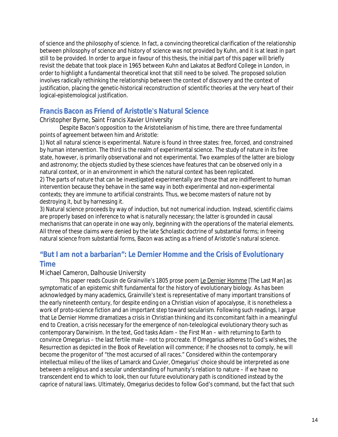of science and the philosophy of science. In fact, a convincing theoretical clarification of the relationship between philosophy of science and history of science was not provided by Kuhn, and it is at least in part still to be provided. In order to argue in favour of this thesis, the initial part of this paper will briefly revisit the debate that took place in 1965 between Kuhn and Lakatos at Bedford College in London, in order to highlight a fundamental theoretical knot that still need to be solved. The proposed solution involves radically rethinking the relationship between the context of discovery and the context of justification, placing the genetic-historical reconstruction of scientific theories at the very heart of their logical-epistemological justification.

## **Francis Bacon as Friend of Aristotle's Natural Science**

Christopher Byrne, Saint Francis Xavier University

Despite Bacon's opposition to the Aristotelianism of his time, there are three fundamental points of agreement between him and Aristotle:

1) Not all natural science is experimental. Nature is found in three states: free, forced, and constrained by human intervention. The third is the realm of experimental science. The study of nature in its free state, however, is primarily observational and not experimental. Two examples of the latter are biology and astronomy; the objects studied by these sciences have features that can be observed only in a natural context, or in an environment in which the natural context has been replicated. 2) The parts of nature that can be investigated experimentally are those that are indifferent to human intervention because they behave in the same way in both experimental and non-experimental contexts; they are immune to artificial constraints. Thus, we become masters of nature not by destroying it, but by harnessing it.

3) Natural science proceeds by way of induction, but not numerical induction. Instead, scientific claims are properly based on inference to what is naturally necessary; the latter is grounded in causal mechanisms that can operate in one way only, beginning with the operations of the material elements. All three of these claims were denied by the late Scholastic doctrine of substantial forms; in freeing natural science from substantial forms, Bacon was acting as a friend of Aristotle's natural science.

## **"But I am not a barbarian":** *Le Dernier Homme* **and the Crisis of Evolutionary Time**

#### Michael Cameron, Dalhousie University

This paper reads Cousin de Grainville's 1805 prose poem Le Dernier Homme [The Last Man] as symptomatic of an epistemic shift fundamental for the history of evolutionary biology. As has been acknowledged by many academics, Grainville's text is representative of many important transitions of the early nineteenth century, for despite ending on a Christian vision of apocalypse, it is nonetheless a work of proto-science fiction and an important step toward secularism. Following such readings, I argue that Le Dernier Homme dramatizes a crisis in Christian thinking and its concomitant faith in a meaningful end to Creation, a crisis necessary for the emergence of non-teleological evolutionary theory such as contemporary Darwinism. In the text, God tasks Adam – the First Man – with returning to Earth to convince Omegarius – the last fertile male – not to procreate. If Omegarius adheres to God's wishes, the Resurrection as depicted in the Book of Revelation will commence; if he chooses not to comply, he will become the progenitor of "the most accursed of all races." Considered within the contemporary intellectual milieu of the likes of Lamarck and Cuvier, Omegarius' choice should be interpreted as one between a religious and a secular understanding of humanity's relation to nature – if we have no transcendent end to which to look, then our future evolutionary path is conditioned instead by the caprice of natural laws. Ultimately, Omegarius decides to follow God's command, but the fact that such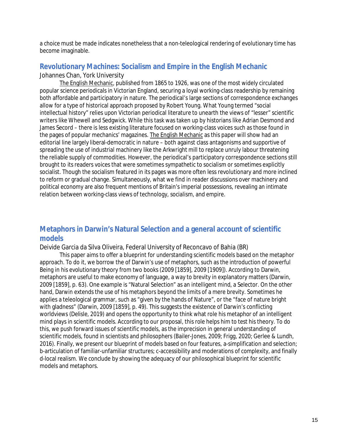a choice must be made indicates nonetheless that a non-teleological rendering of evolutionary time has become imaginable.

## **Revolutionary Machines: Socialism and Empire in the English Mechanic** Johannes Chan, York University

The English Mechanic, published from 1865 to 1926, was one of the most widely circulated popular science periodicals in Victorian England, securing a loyal working-class readership by remaining both affordable and participatory in nature. The periodical's large sections of correspondence exchanges allow for a type of historical approach proposed by Robert Young. What Young termed "social intellectual history" relies upon Victorian periodical literature to unearth the views of "lesser" scientific writers like Whewell and Sedgwick. While this task was taken up by historians like Adrian Desmond and James Secord – there is less existing literature focused on working-class voices such as those found in the pages of popular mechanics' magazines. The English Mechanic as this paper will show had an editorial line largely liberal-democratic in nature – both against class antagonisms and supportive of spreading the use of industrial machinery like the Arkwright mill to replace unruly labour threatening the reliable supply of commodities. However, the periodical's participatory correspondence sections still brought to its readers voices that were sometimes sympathetic to socialism or sometimes explicitly socialist. Though the socialism featured in its pages was more often less revolutionary and more inclined to reform or gradual change. Simultaneously, what we find in reader discussions over machinery and political economy are also frequent mentions of Britain's imperial possessions, revealing an intimate relation between working-class views of technology, socialism, and empire.

## **Metaphors in Darwin's Natural Selection and a general account of scientific models**

#### Deivide Garcia da Silva Oliveira, Federal University of Reconcavo of Bahia (BR)

This paper aims to offer a blueprint for understanding scientific models based on the metaphor approach. To do it, we borrow the of Darwin's use of metaphors, such as the introduction of powerful Being in his evolutionary theory from two books (2009 [1859], 2009 [1909]). According to Darwin, metaphors are useful to make economy of language, a way to brevity in explanatory matters (Darwin, 2009 [1859], p. 63). One example is "Natural Selection" as an intelligent mind, a Selector. On the other hand, Darwin extends the use of his metaphors beyond the limits of a mere brevity. Sometimes he applies a teleological grammar, such as "given by the hands of Nature", or the "face of nature bright with gladness" (Darwin, 2009 [1859], p. 49). This suggests the existence of Darwin's conflicting worldviews (Delisle, 2019) and opens the opportunity to think what role his metaphor of an intelligent mind plays in scientific models. According to our proposal, this role helps him to test his theory. To do this, we push forward issues of scientific models, as the imprecision in general understanding of scientific models, found in scientists and philosophers (Bailer-Jones, 2009; Frigg, 2020; Gerlee & Lundh, 2016). Finally, we present our blueprint of models based on four features, a-simplification and selection; b-articulation of familiar-unfamiliar structures; c-accessibility and moderations of complexity, and finally d-local realism. We conclude by showing the adequacy of our philosophical blueprint for scientific models and metaphors.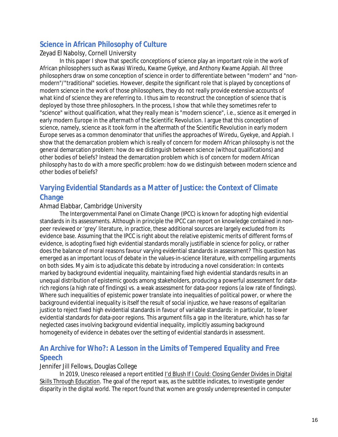## **Science in African Philosophy of Culture**

#### Zeyad El Nabolsy, Cornell University

In this paper I show that specific conceptions of science play an important role in the work of African philosophers such as Kwasi Wiredu, Kwame Gyekye, and Anthony Kwame Appiah. All three philosophers draw on some conception of science in order to differentiate between "modern" and "nonmodern"/"traditional" societies. However, despite the significant role that is played by conceptions of modern science in the work of those philosophers, they do not really provide extensive accounts of what kind of science they are referring to. I thus aim to reconstruct the conception of science that is deployed by those three philosophers. In the process, I show that while they sometimes refer to "science" without qualification, what they really mean is "modern science", i.e., science as it emerged in early modern Europe in the aftermath of the Scientific Revolution. I argue that this conception of science, namely, science as it took form in the aftermath of the Scientific Revolution in early modern Europe serves as a common denominator that unifies the approaches of Wiredu, Gyekye, and Appiah. I show that the demarcation problem which is really of concern for modern African philosophy is not the general demarcation problem: how do we distinguish between science (without qualifications) and other bodies of beliefs? Instead the demarcation problem which is of concern for modern African philosophy has to do with a more specific problem: how do we distinguish between modern science and other bodies of beliefs?

## **Varying Evidential Standards as a Matter of Justice: the Context of Climate Change**

#### Ahmad Elabbar, Cambridge University

The Intergovernmental Panel on Climate Change (IPCC) is known for adopting high evidential standards in its assessments. Although in principle the IPCC can report on knowledge contained in nonpeer reviewed or 'grey' literature, in practice, these additional sources are largely excluded from its evidence base. Assuming that the IPCC is right about the relative epistemic merits of different forms of evidence, is adopting fixed high evidential standards morally justifiable in science for policy, or rather does the balance of moral reasons favour varying evidential standards in assessment? This question has emerged as an important locus of debate in the values-in-science literature, with compelling arguments on both sides. My aim is to adjudicate this debate by introducing a novel consideration: In contexts marked by background evidential inequality, maintaining fixed high evidential standards results in an unequal distribution of epistemic goods among stakeholders, producing a powerful assessment for datarich regions (a high rate of findings) vs. a weak assessment for data-poor regions (a low rate of findings). Where such inequalities of epistemic power translate into inequalities of political power, or where the background evidential inequality is itself the result of social injustice, we have reasons of egalitarian justice to reject fixed high evidential standards in favour of variable standards: in particular, to lower evidential standards for data-poor regions. This argument fills a gap in the literature, which has so far neglected cases involving background evidential inequality, implicitly assuming background homogeneity of evidence in debates over the setting of evidential standards in assessment.

## **An Archive for Who?: A Lesson in the Limits of Tempered Equality and Free Speech**

#### Jennifer Jill Fellows, Douglas College

In 2019, Unesco released a report entitled I'd Blush If I Could: Closing Gender Divides in Digital Skills Through Education. The goal of the report was, as the subtitle indicates, to investigate gender disparity in the digital world. The report found that women are grossly underrepresented in computer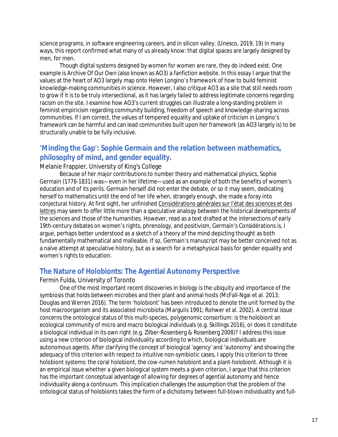science programs, in software engineering careers, and in silicon valley. (Unesco, 2019, 19) In many ways, this report confirmed what many of us already know: that digital spaces are largely designed by men, for men.

Though digital systems designed by women for women are rare, they do indeed exist. One example is Archive Of Our Own (also known as AO3) a fanfiction website. In this essay I argue that the values at the heart of AO3 largely map onto Helen Longino's framework of how to build feminist knowledge-making communities in science. However, I also critique AO3 as a site that still needs room to grow if it is to be truly intersectional, as it has largely failed to address legitimate concerns regarding racism on the site. I examine how AO3's current struggles can illustrate a long-standing problem in feminist empiricism regarding community building, freedom of speech and knowledge-sharing across communities. If I am correct, the values of tempered equality and uptake of criticism in Longino's framework can be harmful and can lead communities built upon her framework (as AO3 largely is) to be structurally unable to be fully inclusive.

## **'Minding the Gap': Sophie Germain and the relation between mathematics, philosophy of mind, and gender equality.**

Melanie Frappier, University of King's College

Because of her major contributions to number theory and mathematical physics, Sophie Germain (1776-1831) was—even in her lifetime—used as an example of both the benefits of women's education and of its perils. Germain herself did not enter the debate, or so it may seem, dedicating herself to mathematics until the end of her life when, strangely enough, she made a foray into conjectural history. At first sight, her unfinished Considérations générales sur l'état des sciences et des lettres may seem to offer little more than a speculative analogy between the historical developments of the sciences and those of the humanities. However, read as a text drafted at the intersections of early 19th-century debates on women's rights, phrenology, and positivism, Germain's Considérations is, I argue, perhaps better understood as a sketch of a theory of the mind depicting thought as both fundamentally mathematical and malleable. If so, Germain's manuscript may be better conceived not as a naïve attempt at speculative history, but as a search for a metaphysical basis for gender equality and women's rights to education.

## **The Nature of Holobionts: The Agential Autonomy Perspective**

#### Fermin Fulda, University of Toronto

One of the most important recent discoveries in biology is the ubiquity and importance of the symbiosis that holds between microbes and their plant and animal hosts (McFall-Ngai et al. 2013; Douglas and Werren 2016). The term 'holobiont' has been introduced to denote the unit formed by the host macroorganism and its associated microbiota (Margulis 1991; Rohwer et al. 2002). A central issue concerns the ontological status of this multi-species, polygenomic consortium: is the holobiont an ecological community of micro and macro biological individuals (e.g. Skillings 2016), or does it constitute a biological individual in its own right (e.g. Zilber-Rosenberg & Rosenberg 2008)? I address this issue using a new criterion of biological individuality according to which, biological individuals are autonomous agents. After clarifying the concept of biological 'agency' and 'autonomy' and showing the adequacy of this criterion with respect to intuitive non-symbiotic cases, I apply this criterion to three holobiont systems: the coral holobiont, the cow-rumen holobiont and a plant-holobiont. Although it is an empirical issue whether a given biological system meets a given criterion, I argue that this criterion has the important conceptual advantage of allowing for degrees of agential autonomy and hence individuality along a continuum. This implication challenges the assumption that the problem of the ontological status of holobionts takes the form of a dichotomy between full-blown individuality and full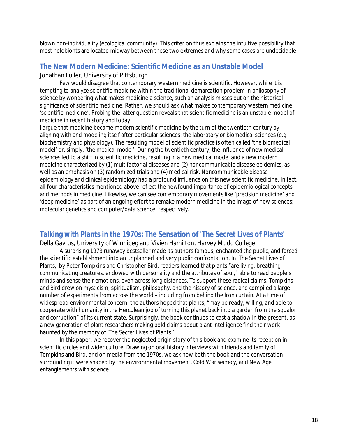blown non-individuality (ecological community). This criterion thus explains the intuitive possibility that most holobionts are located midway between these two extremes and why some cases are undecidable.

## **The New Modern Medicine: Scientific Medicine as an Unstable Model** Jonathan Fuller, University of Pittsburgh

Few would disagree that contemporary western medicine is scientific. However, while it is tempting to analyze scientific medicine within the traditional demarcation problem in philosophy of science by wondering what makes medicine a science, such an analysis misses out on the historical significance of scientific medicine. Rather, we should ask what makes contemporary western medicine 'scientific medicine'. Probing the latter question reveals that scientific medicine is an unstable model of medicine in recent history and today.

I argue that medicine became modern scientific medicine by the turn of the twentieth century by aligning with and modeling itself after particular sciences: the laboratory or biomedical sciences (e.g. biochemistry and physiology). The resulting model of scientific practice is often called 'the biomedical model' or, simply, 'the medical model'. During the twentieth century, the influence of new medical sciences led to a shift in scientific medicine, resulting in a new medical model and a new modern medicine characterized by (1) multifactorial diseases and (2) noncommunicable disease epidemics, as well as an emphasis on (3) randomized trials and (4) medical risk. Noncommunicable disease epidemiology and clinical epidemiology had a profound influence on this new scientific medicine. In fact, all four characteristics mentioned above reflect the newfound importance of epidemiological concepts and methods in medicine. Likewise, we can see contemporary movements like 'precision medicine' and 'deep medicine' as part of an ongoing effort to remake modern medicine in the image of new sciences: molecular genetics and computer/data science, respectively.

## **Talking with Plants in the 1970s: The Sensation of 'The Secret Lives of Plants'**

Della Gavrus, University of Winnipeg and Vivien Hamilton, Harvey Mudd College

A surprising 1973 runaway bestseller made its authors famous, enchanted the public, and forced the scientific establishment into an unplanned and very public confrontation. In 'The Secret Lives of Plants,' by Peter Tompkins and Christopher Bird, readers learned that plants "are living, breathing, communicating creatures, endowed with personality and the attributes of soul," able to read people's minds and sense their emotions, even across long distances. To support these radical claims, Tompkins and Bird drew on mysticism, spiritualism, philosophy, and the history of science, and compiled a large number of experiments from across the world – including from behind the Iron curtain. At a time of widespread environmental concern, the authors hoped that plants, "may be ready, willing, and able to cooperate with humanity in the Herculean job of turning this planet back into a garden from the squalor and corruption" of its current state. Surprisingly, the book continues to cast a shadow in the present, as a new generation of plant researchers making bold claims about plant intelligence find their work haunted by the memory of 'The Secret Lives of Plants.'

In this paper, we recover the neglected origin story of this book and examine its reception in scientific circles and wider culture. Drawing on oral history interviews with friends and family of Tompkins and Bird, and on media from the 1970s, we ask how both the book and the conversation surrounding it were shaped by the environmental movement, Cold War secrecy, and New Age entanglements with science.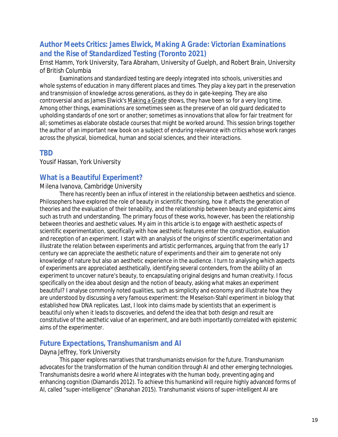## **Author Meets Critics: James Elwick,** *Making A Grade: Victorian Examinations and the Rise of Standardized Testing* **(Toronto 2021)**

Ernst Hamm, York University, Tara Abraham, University of Guelph, and Robert Brain, University of British Columbia

Examinations and standardized testing are deeply integrated into schools, universities and whole systems of education in many different places and times. They play a key part in the preservation and transmission of knowledge across generations, as they do in gate-keeping. They are also controversial and as James Elwick's Making a Grade shows, they have been so for a very long time. Among other things, examinations are sometimes seen as the preserve of an old guard dedicated to upholding standards of one sort or another; sometimes as innovations that allow for fair treatment for all; sometimes as elaborate obstacle courses that might be worked around. This session brings together the author of an important new book on a subject of enduring relevance with critics whose work ranges across the physical, biomedical, human and social sciences, and their interactions.

### **TBD**

Yousif Hassan, York University

### **What is a Beautiful Experiment?**

#### Milena Ivanova, Cambridge University

There has recently been an influx of interest in the relationship between aesthetics and science. Philosophers have explored the role of beauty in scientific theorising, how it affects the generation of theories and the evaluation of their tenability, and the relationship between beauty and epistemic aims such as truth and understanding. The primary focus of these works, however, has been the relationship between theories and aesthetic values. My aim in this article is to engage with aesthetic aspects of scientific experimentation, specifically with how aesthetic features enter the construction, evaluation and reception of an experiment. I start with an analysis of the origins of scientific experimentation and illustrate the relation between experiments and artistic performances, arguing that from the early 17 century we can appreciate the aesthetic nature of experiments and their aim to generate not only knowledge of nature but also an aesthetic experience in the audience. I turn to analysing which aspects of experiments are appreciated aesthetically, identifying several contenders, from the ability of an experiment to uncover nature's beauty, to encapsulating original designs and human creativity. I focus specifically on the idea about design and the notion of beauty, asking what makes an experiment beautiful? I analyse commonly noted qualities, such as simplicity and economy and illustrate how they are understood by discussing a very famous experiment: the Meselson-Stahl experiment in biology that established how DNA replicates. Last, I look into claims made by scientists that an experiment is beautiful only when it leads to discoveries, and defend the idea that both design and result are constitutive of the aesthetic value of an experiment, and are both importantly correlated with epistemic aims of the experimenter.

## **Future Expectations, Transhumanism and AI**

#### Dayna Jeffrey, York University

This paper explores narratives that transhumanists envision for the future. Transhumanism advocates for the transformation of the human condition through AI and other emerging technologies. Transhumanists desire a world where AI integrates with the human body, preventing aging and enhancing cognition (Diamandis 2012). To achieve this humankind will require highly advanced forms of AI, called "super-intelligence" (Shanahan 2015). Transhumanist visions of super-intelligent AI are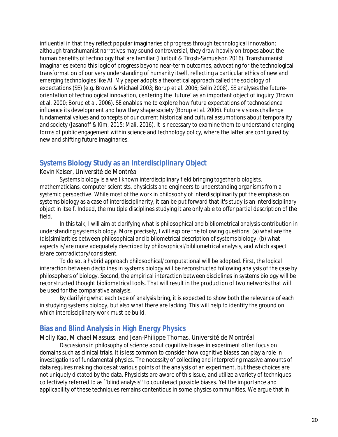influential in that they reflect popular imaginaries of progress through technological innovation; although transhumanist narratives may sound controversial, they draw heavily on tropes about the human benefits of technology that are familiar (Hurlbut & Tirosh-Samuelson 2016). Transhumanist imaginaries extend this logic of progress beyond near-term outcomes, advocating for the technological transformation of our very understanding of humanity itself, reflecting a particular ethics of new and emerging technologies like AI. My paper adopts a theoretical approach called the sociology of expectations (SE) (e.g. Brown & Michael 2003; Borup et al. 2006; Selin 2008). SE analyses the futureorientation of technological innovation, centering the 'future' as an important object of inquiry (Brown et al. 2000; Borup et al. 2006). SE enables me to explore how future expectations of technoscience influence its development and how they shape society (Borup et al. 2006). Future visions challenge fundamental values and concepts of our current historical and cultural assumptions about temporality and society (Jasanoff & Kim, 2015; Mali, 2016). It is necessary to examine them to understand changing forms of public engagement within science and technology policy, where the latter are configured by new and shifting future imaginaries.

## **Systems Biology Study as an Interdisciplinary Object**

#### Kevin Kaiser, Université de Montréal

Systems biology is a well known interdisciplinary field bringing together biologists, mathematicians, computer scientists, physicists and engineers to understanding organisms from a systemic perspective. While most of the work in philosophy of interdisciplinarity put the emphasis on systems biology as a case of interdisciplinarity, it can be put forward that it's study is an interdisciplinary object in itself. Indeed, the multiple disciplines studying it are only able to offer partial description of the field.

In this talk, I will aim at clarifying what is philosophical and bibliometrical analysis contribution in understanding systems biology. More precisely, I will explore the following questions: (a) what are the (dis)similarities between philosophical and bibliometrical description of systems biology, (b) what aspects is/are more adequately described by philosophical/bibliometrical analysis, and which aspect is/are contradictory/consistent.

To do so, a hybrid approach philosophical/computational will be adopted. First, the logical interaction between disciplines in systems biology will be reconstructed following analysis of the case by philosophers of biology. Second, the empirical interaction between disciplines in systems biology will be reconstructed thought bibliometrical tools. That will result in the production of two networks that will be used for the comparative analysis.

By clarifying what each type of analysis bring, it is expected to show both the relevance of each in studying systems biology, but also what there are lacking. This will help to identify the ground on which interdisciplinary work must be build.

## **Bias and Blind Analysis in High Energy Physics**

Molly Kao, Michael Massussi and Jean-Philippe Thomas, Université de Montréal

Discussions in philosophy of science about cognitive biases in experiment often focus on domains such as clinical trials. It is less common to consider how cognitive biases can play a role in investigations of fundamental physics. The necessity of collecting and interpreting massive amounts of data requires making choices at various points of the analysis of an experiment, but these choices are not uniquely dictated by the data. Physicists are aware of this issue, and utilize a variety of techniques collectively referred to as ``blind analysis'' to counteract possible biases. Yet the importance and applicability of these techniques remains contentious in some physics communities. We argue that in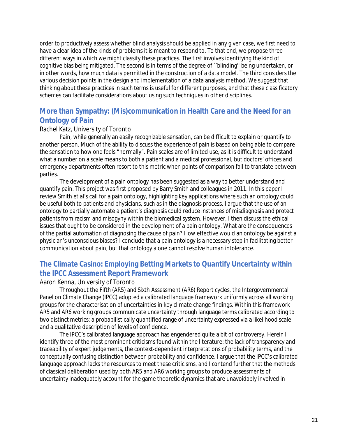order to productively assess whether blind analysis should be applied in any given case, we first need to have a clear idea of the kinds of problems it is meant to respond to. To that end, we propose three different ways in which we might classify these practices. The first involves identifying the kind of cognitive bias being mitigated. The second is in terms of the degree of ``blinding'' being undertaken, or in other words, how much data is permitted in the construction of a data model. The third considers the various decision points in the design and implementation of a data analysis method. We suggest that thinking about these practices in such terms is useful for different purposes, and that these classificatory schemes can facilitate considerations about using such techniques in other disciplines.

## **More than Sympathy: (Mis)communication in Health Care and the Need for an Ontology of Pain**

#### Rachel Katz, University of Toronto

Pain, while generally an easily recognizable sensation, can be difficult to explain or quantify to another person. Much of the ability to discuss the experience of pain is based on being able to compare the sensation to how one feels "normally". Pain scales are of limited use, as it is difficult to understand what a number on a scale means to both a patient and a medical professional, but doctors' offices and emergency departments often resort to this metric when points of comparison fail to translate between parties.

The development of a pain ontology has been suggested as a way to better understand and quantify pain. This project was first proposed by Barry Smith and colleagues in 2011. In this paper I review Smith et al's call for a pain ontology, highlighting key applications where such an ontology could be useful both to patients and physicians, such as in the diagnosis process. I argue that the use of an ontology to partially automate a patient's diagnosis could reduce instances of misdiagnosis and protect patients from racism and misogyny within the biomedical system. However, I then discuss the ethical issues that ought to be considered in the development of a pain ontology. What are the consequences of the partial automation of diagnosing the cause of pain? How effective would an ontology be against a physician's unconscious biases? I conclude that a pain ontology is a necessary step in facilitating better communication about pain, but that ontology alone cannot resolve human intolerance.

## **The Climate Casino: Employing Betting Markets to Quantify Uncertainty within the IPCC Assessment Report Framework**

#### Aaron Kenna, University of Toronto

Throughout the Fifth (AR5) and Sixth Assessment (AR6) Report cycles, the Intergovernmental Panel on Climate Change (IPCC) adopted a calibrated language framework uniformly across all working groups for the characterisation of uncertainties in key climate change findings. Within this framework AR5 and AR6 working groups communicate uncertainty through language terms calibrated according to two distinct metrics: a probabilistically quantified range of uncertainty expressed via a likelihood scale and a qualitative description of levels of confidence.

The IPCC's calibrated language approach has engendered quite a bit of controversy. Herein I identify three of the most prominent criticisms found within the literature: the lack of transparency and traceability of expert judgements, the context-dependent interpretations of probability terms, and the conceptually confusing distinction between probability and confidence. I argue that the IPCC's calibrated language approach lacks the resources to meet these criticisms, and I contend further that the methods of classical deliberation used by both AR5 and AR6 working groups to produce assessments of uncertainty inadequately account for the game theoretic dynamics that are unavoidably involved in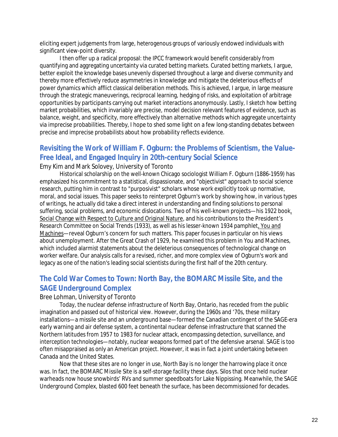eliciting expert judgements from large, heterogenous groups of variously endowed individuals with significant view-point diversity.

I then offer up a radical proposal: the IPCC framework would benefit considerably from quantifying and aggregating uncertainty via curated betting markets. Curated betting markets, I argue, better exploit the knowledge bases unevenly dispersed throughout a large and diverse community and thereby more effectively reduce asymmetries in knowledge and mitigate the deleterious effects of power dynamics which afflict classical deliberation methods. This is achieved, I argue, in large measure through the strategic maneuverings, reciprocal learning, hedging of risks, and exploitation of arbitrage opportunities by participants carrying out market interactions anonymously. Lastly, I sketch how betting market probabilities, which invariably are precise, model decision relevant features of evidence, such as balance, weight, and specificity, more effectively than alternative methods which aggregate uncertainty via imprecise probabilities. Thereby, I hope to shed some light on a few long-standing debates between precise and imprecise probabilists about how probability reflects evidence.

## **Revisiting the Work of William F. Ogburn: the Problems of Scientism, the Value-Free Ideal, and Engaged Inquiry in 20th-century Social Science**

Emy Kim and Mark Solovey, University of Toronto

Historical scholarship on the well-known Chicago sociologist William F. Ogburn (1886-1959) has emphasized his commitment to a statistical, dispassionate, and "objectivist" approach to social science research, putting him in contrast to "purposivist" scholars whose work explicitly took up normative, moral, and social issues. This paper seeks to reinterpret Ogburn's work by showing how, in various types of writings, he actually did take a direct interest in understanding and finding solutions to personal suffering, social problems, and economic dislocations. Two of his well-known projects—his 1922 book, Social Change with Respect to Culture and Original Nature, and his contributions to the President's Research Committee on Social Trends (1933), as well as his lesser-known 1934 pamphlet, You and Machines—reveal Ogburn's concern for such matters. This paper focuses in particular on his views about unemployment. After the Great Crash of 1929, he examined this problem in You and Machines, which included alarmist statements about the deleterious consequences of technological change on worker welfare. Our analysis calls for a revised, richer, and more complex view of Ogburn's work and legacy as one of the nation's leading social scientists during the first half of the 20th century.

## **The Cold War Comes to Town: North Bay, the BOMARC Missile Site, and the SAGE Underground Complex**

#### Bree Lohman, University of Toronto

Today, the nuclear defense infrastructure of North Bay, Ontario, has receded from the public imagination and passed out of historical view. However, during the 1960s and '70s, these military installations—a missile site and an underground base—formed the Canadian contingent of the SAGE-era early warning and air defense system, a continental nuclear defense infrastructure that scanned the Northern latitudes from 1957 to 1983 for nuclear attack, encompassing detection, surveillance, and interception technologies—notably, nuclear weapons formed part of the defensive arsenal. SAGE is too often misappraised as only an American project. However, it was in fact a joint undertaking between Canada and the United States.

Now that these sites are no longer in use, North Bay is no longer the harrowing place it once was. In fact, the BOMARC Missile Site is a self-storage facility these days. Silos that once held nuclear warheads now house snowbirds' RVs and summer speedboats for Lake Nippissing. Meanwhile, the SAGE Underground Complex, blasted 600 feet beneath the surface, has been decommissioned for decades.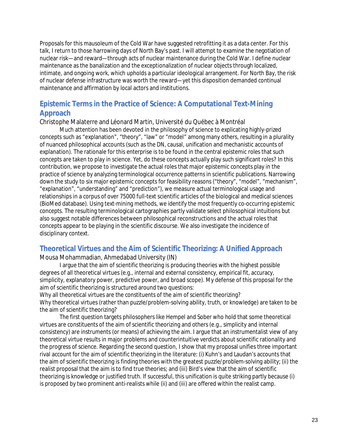Proposals for this mausoleum of the Cold War have suggested retrofitting it as a data center. For this talk, I return to those harrowing days of North Bay's past. I will attempt to examine the negotiation of nuclear risk—and reward—through acts of nuclear maintenance during the Cold War. I define nuclear maintenance as the banalization and the exceptionalization of nuclear objects through localized, intimate, and ongoing work, which upholds a particular ideological arrangement. For North Bay, the risk of nuclear defense infrastructure was worth the reward—yet this disposition demanded continual maintenance and affirmation by local actors and institutions.

## **Epistemic Terms in the Practice of Science: A Computational Text-Mining Approach**

#### Christophe Malaterre and Léonard Martin, Université du Québec à Montréal

Much attention has been devoted in the philosophy of science to explicating highly-prized concepts such as "explanation", "theory", "law" or "model" among many others, resulting in a plurality of nuanced philosophical accounts (such as the DN, causal, unification and mechanistic accounts of explanation). The rationale for this enterprise is to be found in the central epistemic roles that such concepts are taken to play in science. Yet, do these concepts actually play such significant roles? In this contribution, we propose to investigate the actual roles that major epistemic concepts play in the practice of science by analyzing terminological occurrence patterns in scientific publications. Narrowing down the study to six major epistemic concepts for feasibility reasons ("theory", "model", "mechanism", "explanation", "understanding" and "prediction"), we measure actual terminological usage and relationships in a corpus of over 75000 full-text scientific articles of the biological and medical sciences (BioMed database). Using text-mining methods, we identify the most frequently co-occurring epistemic concepts. The resulting terminological cartographies partly validate select philosophical intuitions but also suggest notable differences between philosophical reconstructions and the actual roles that concepts appear to be playing in the scientific discourse. We also investigate the incidence of disciplinary context.

#### **Theoretical Virtues and the Aim of Scientific Theorizing: A Unified Approach**

Mousa Mohammadian, Ahmedabad University (IN)

I argue that the aim of scientific theorizing is producing theories with the highest possible degrees of all theoretical virtues (e.g., internal and external consistency, empirical fit, accuracy, simplicity, explanatory power, predictive power, and broad scope). My defense of this proposal for the aim of scientific theorizing is structured around two questions:

Why all theoretical virtues are the constituents of the aim of scientific theorizing? Why theoretical virtues (rather than puzzle/problem-solving ability, truth, or knowledge) are taken to be the aim of scientific theorizing?

The first question targets philosophers like Hempel and Sober who hold that some theoretical virtues are constituents of the aim of scientific theorizing and others (e.g., simplicity and internal consistency) are instruments (or means) of achieving the aim. I argue that an instrumentalist view of any theoretical virtue results in major problems and counterintuitive verdicts about scientific rationality and the progress of science. Regarding the second question, I show that my proposal unifies three important rival account for the aim of scientific theorizing in the literature: (i) Kuhn's and Laudan's accounts that the aim of scientific theorizing is finding theories with the greatest puzzle/problem-solving ability; (ii) the realist proposal that the aim is to find true theories; and (iii) Bird's view that the aim of scientific theorizing is knowledge or justified truth. If successful, this unification is quite striking partly because (i) is proposed by two prominent anti-realists while (ii) and (iii) are offered within the realist camp.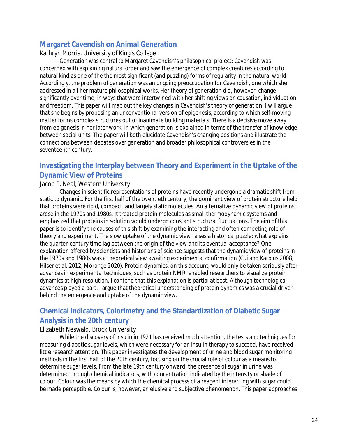## **Margaret Cavendish on Animal Generation**

#### Kathryn Morris, University of King's College

Generation was central to Margaret Cavendish's philosophical project: Cavendish was concerned with explaining natural order and saw the emergence of complex creatures according to natural kind as one of the the most significant (and puzzling) forms of regularity in the natural world. Accordingly, the problem of generation was an ongoing preoccupation for Cavendish, one which she addressed in all her mature philosophical works. Her theory of generation did, however, change significantly over time, in ways that were intertwined with her shifting views on causation, individuation, and freedom. This paper will map out the key changes in Cavendish's theory of generation. I will argue that she begins by proposing an unconventional version of epigenesis, according to which self-moving matter forms complex structures out of inanimate building materials. There is a decisive move away from epigenesis in her later work, in which generation is explained in terms of the transfer of knowledge between social units. The paper will both elucidate Cavendish's changing positions and illustrate the connections between debates over generation and broader philosophical controversies in the seventeenth century.

## **Investigating the Interplay between Theory and Experiment in the Uptake of the Dynamic View of Proteins**

#### Jacob P. Neal, Western University

Changes in scientific representations of proteins have recently undergone a dramatic shift from static to dynamic. For the first half of the twentieth century, the dominant view of protein structure held that proteins were rigid, compact, and largely static molecules. An alternative dynamic view of proteins arose in the 1970s and 1980s. It treated protein molecules as small thermodynamic systems and emphasized that proteins in solution would undergo constant structural fluctuations. The aim of this paper is to identify the causes of this shift by examining the interacting and often competing role of theory and experiment. The slow uptake of the dynamic view raises a historical puzzle: what explains the quarter-century time lag between the origin of the view and its eventual acceptance? One explanation offered by scientists and historians of science suggests that the dynamic view of proteins in the 1970s and 1980s was a theoretical view awaiting experimental confirmation (Cui and Karplus 2008, Hilser et al. 2012, Morange 2020). Protein dynamics, on this account, would only be taken seriously after advances in experimental techniques, such as protein NMR, enabled researchers to visualize protein dynamics at high resolution. I contend that this explanation is partial at best. Although technological advances played a part, I argue that theoretical understanding of protein dynamics was a crucial driver behind the emergence and uptake of the dynamic view.

## **Chemical Indicators, Colorimetry and the Standardization of Diabetic Sugar Analysis in the 20th century**

#### Elizabeth Neswald, Brock University

While the discovery of insulin in 1921 has received much attention, the tests and techniques for measuring diabetic sugar levels, which were necessary for an insulin therapy to succeed, have received little research attention. This paper investigates the development of urine and blood sugar monitoring methods in the first half of the 20th century, focusing on the crucial role of colour as a means to determine sugar levels. From the late 19th century onward, the presence of sugar in urine was determined through chemical indicators, with concentration indicated by the intensity or shade of colour. Colour was the means by which the chemical process of a reagent interacting with sugar could be made perceptible. Colour is, however, an elusive and subjective phenomenon. This paper approaches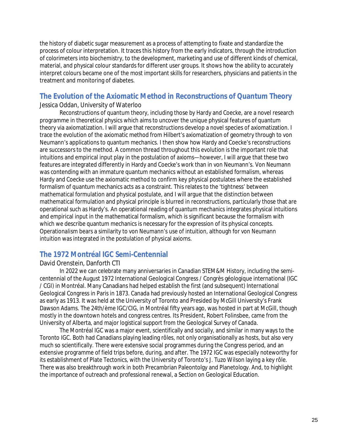the history of diabetic sugar measurement as a process of attempting to fixate and standardize the process of colour interpretation. It traces this history from the early indicators, through the introduction of colorimeters into biochemistry, to the development, marketing and use of different kinds of chemical, material, and physical colour standards for different user groups. It shows how the ability to accurately interpret colours became one of the most important skills for researchers, physicians and patients in the treatment and monitoring of diabetes.

## **The Evolution of the Axiomatic Method in Reconstructions of Quantum Theory**

#### Jessica Oddan, University of Waterloo

Reconstructions of quantum theory, including those by Hardy and Coecke, are a novel research programme in theoretical physics which aims to uncover the unique physical features of quantum theory via axiomatization. I will argue that reconstructions develop a novel species of axiomatization. I trace the evolution of the axiomatic method from Hilbert's axiomatization of geometry through to von Neumann's applications to quantum mechanics. I then show how Hardy and Coecke's reconstructions are successors to the method. A common thread throughout this evolution is the important role that intuitions and empirical input play in the postulation of axioms—however, I will argue that these two features are integrated differently in Hardy and Coecke's work than in von Neumann's. Von Neumann was contending with an immature quantum mechanics without an established formalism, whereas Hardy and Coecke use the axiomatic method to confirm key physical postulates where the established formalism of quantum mechanics acts as a constraint. This relates to the 'tightness' between mathematical formulation and physical postulate, and I will argue that the distinction between mathematical formulation and physical principle is blurred in reconstructions, particularly those that are operational such as Hardy's. An operational reading of quantum mechanics integrates physical intuitions and empirical input in the mathematical formalism, which is significant because the formalism with which we describe quantum mechanics is necessary for the expression of its physical concepts. Operationalism bears a similarity to von Neumann's use of intuition, although for von Neumann intuition was integrated in the postulation of physical axioms.

## **The 1972 Montréal IGC Semi-Centennial**

#### David Orenstein, Danforth CTI

In 2022 we can celebrate many anniversaries in Canadian STEM&M History, including the semicentennial of the August 1972 International Geological Congress / Congrès géologique international (IGC / CGI) in Montréal. Many Canadians had helped establish the first (and subsequent) International Geological Congress in Paris in 1873. Canada had previously hosted an International Geological Congress as early as 1913. It was held at the University of Toronto and Presided by McGill University's Frank Dawson Adams. The 24th/ème IGC/CIG, in Montréal fifty years ago, was hosted in part at McGill, though mostly in the downtown hotels and congress centres. Its President, Robert Folinsbee, came from the University of Alberta, and major logistical support from the Geological Survey of Canada.

The Montréal IGC was a major event, scientifically and socially, and similar in many ways to the Toronto IGC. Both had Canadians playing leading rôles, not only organisationally as hosts, but also very much so scientifically. There were extensive social programmes during the Congress period, and an extensive programme of field trips before, during, and after. The 1972 IGC was especially noteworthy for its establishment of Plate Tectonics, with the University of Toronto's J. Tuzo Wilson laying a key rôle. There was also breakthrough work in both Precambrian Paleontolgy and Planetology. And, to highlight the importance of outreach and professional renewal, a Section on Geological Education.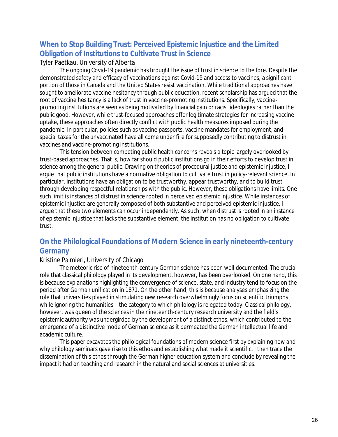## **When to Stop Building Trust: Perceived Epistemic Injustice and the Limited Obligation of Institutions to Cultivate Trust in Science**

#### Tyler Paetkau, University of Alberta

The ongoing Covid-19 pandemic has brought the issue of trust in science to the fore. Despite the demonstrated safety and efficacy of vaccinations against Covid-19 and access to vaccines, a significant portion of those in Canada and the United States resist vaccination. While traditional approaches have sought to ameliorate vaccine hesitancy through public education, recent scholarship has argued that the root of vaccine hesitancy is a lack of trust in vaccine-promoting institutions. Specifically, vaccinepromoting institutions are seen as being motivated by financial gain or racist ideologies rather than the public good. However, while trust-focused approaches offer legitimate strategies for increasing vaccine uptake, these approaches often directly conflict with public health measures imposed during the pandemic. In particular, policies such as vaccine passports, vaccine mandates for employment, and special taxes for the unvaccinated have all come under fire for supposedly contributing to distrust in vaccines and vaccine-promoting institutions.

This tension between competing public health concerns reveals a topic largely overlooked by trust-based approaches. That is, how far should public institutions go in their efforts to develop trust in science among the general public. Drawing on theories of procedural justice and epistemic injustice, I argue that public institutions have a normative obligation to cultivate trust in policy-relevant science. In particular, institutions have an obligation to be trustworthy, appear trustworthy, and to build trust through developing respectful relationships with the public. However, these obligations have limits. One such limit is instances of distrust in science rooted in perceived epistemic injustice. While instances of epistemic injustice are generally composed of both substantive and perceived epistemic injustice, I argue that these two elements can occur independently. As such, when distrust is rooted in an instance of epistemic injustice that lacks the substantive element, the institution has no obligation to cultivate trust.

## **On the Philological Foundations of Modern Science in early nineteenth-century Germany**

#### Kristine Palmieri, University of Chicago

The meteoric rise of nineteenth-century German science has been well documented. The crucial role that classical philology played in its development, however, has been overlooked. On one hand, this is because explanations highlighting the convergence of science, state, and industry tend to focus on the period after German unification in 1871. On the other hand, this is because analyses emphasizing the role that universities played in stimulating new research overwhelmingly focus on scientific triumphs while ignoring the humanities – the category to which philology is relegated today. Classical philology, however, was queen of the sciences in the nineteenth-century research university and the field's epistemic authority was undergirded by the development of a distinct ethos, which contributed to the emergence of a distinctive mode of German science as it permeated the German intellectual life and academic culture.

This paper excavates the philological foundations of modern science first by explaining how and why philology seminars gave rise to this ethos and establishing what made it scientific. I then trace the dissemination of this ethos through the German higher education system and conclude by revealing the impact it had on teaching and research in the natural and social sciences at universities.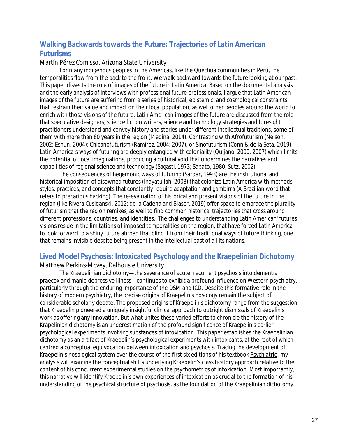## **Walking Backwards towards the Future: Trajectories of Latin American Futurisms**

#### Martín Pérez Comisso, Arizona State University

For many indigenous peoples in the Americas, like the Quechua communities in Perú, the temporalities flow from the back to the front: We walk backward towards the future looking at our past. This paper dissects the role of images of the future in Latin America. Based on the documental analysis and the early analysis of interviews with professional future professionals, I argue that Latin American images of the future are suffering from a series of historical, epistemic, and cosmological constraints that restrain their value and impact on their local population, as well other peoples around the world to enrich with those visions of the future. Latin American images of the future are discussed from the role that speculative designers, science fiction writers, science and technology strategies and foresight practitioners understand and convey history and stories under different intellectual traditions, some of them with more than 60 years in the region (Medina, 2014). Contrasting with Afrofuturism (Nelson, 2002; Eshun, 2004); Chicanofuturism (Ramirez, 2004; 2007), or Sinofuturism (Conn & de la Seta, 2019), Latin America´s ways of futuring are deeply entangled with coloniality (Quijano, 2000; 2007) which limits the potential of local imaginations, producing a cultural void that undermines the narratives and capabilities of regional science and technology (Sagasti, 1973; Sabato, 1980; Sutz, 2002).

The consequences of hegemonic ways of futuring (Sardar, 1993) are the institutional and historical imposition of disowned futures (Inayatullah, 2008) that colonize Latin America with methods, styles, practices, and concepts that constantly require adaptation and gambirra (A Brazilian word that refers to precarious hacking). The re-evaluation of historical and present visions of the future in the region (like Rivera Cusiqanski, 2012; de la Cadena and Blaser, 2019) offer space to embrace the plurality of futurism that the region remixes, as well to find common historical trajectories that cross around different professions, countries, and identities. The challenges to understanding Latin American' futures visions reside in the limitations of imposed temporalities on the region, that have forced Latin America to look forward to a shiny future abroad that blind it from their traditional ways of future thinking, one that remains invisible despite being present in the intellectual past of all its nations.

#### **Lived Model Psychosis: Intoxicated Psychology and the Kraepelinian Dichotomy**

#### Matthew Perkins-Mcvey, Dalhousie University

The Kraepelinian dichotomy—the severance of acute, recurrent psychosis into dementia praecox and manic-depressive illness—continues to exhibit a profound influence on Western psychiatry, particularly through the enduring importance of the DSM and ICD. Despite this formative role in the history of modern psychiatry, the precise origins of Kraepelin's nosology remain the subject of considerable scholarly debate. The proposed origins of Kraepelin's dichotomy range from the suggestion that Kraepelin pioneered a uniquely insightful clinical approach to outright dismissals of Kraepelin's work as offering any innovation. But what unites these varied efforts to chronicle the history of the Krapelinian dichotomy is an underestimation of the profound significance of Kraepelin's earlier psychological experiments involving substances of intoxication. This paper establishes the Kraepelinian dichotomy as an artifact of Kraepelin's psychological experiments with intoxicants, at the root of which centred a conceptual equivocation between intoxication and psychosis. Tracing the development of Kraepelin's nosological system over the course of the first six editions of his textbook Psychiatrie, my analysis will examine the conceptual shifts underlying Kraepelin's classificatory approach relative to the content of his concurrent experimental studies on the psychometrics of intoxication. Most importantly, this narrative will identify Kraepelin's own experiences of intoxication as crucial to the formation of his understanding of the psychical structure of psychosis, as the foundation of the Kraepelinian dichotomy.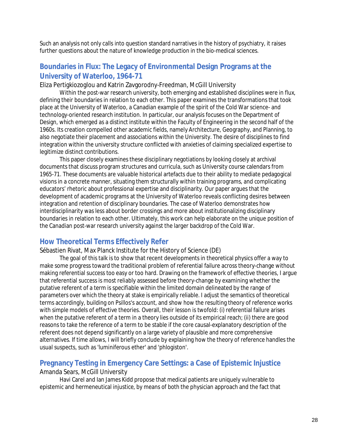Such an analysis not only calls into question standard narratives in the history of psychiatry, it raises further questions about the nature of knowledge production in the bio-medical sciences.

## **Boundaries in Flux: The Legacy of Environmental Design Programs at the University of Waterloo, 1964-71**

Eliza Pertigkiozoglou and Katrin Zavgorodny-Freedman, McGill University

Within the post-war research university, both emerging and established disciplines were in flux, defining their boundaries in relation to each other. This paper examines the transformations that took place at the University of Waterloo, a Canadian example of the spirit of the Cold War science- and technology-oriented research institution. In particular, our analysis focuses on the Department of Design, which emerged as a distinct institute within the Faculty of Engineering in the second half of the 1960s. Its creation compelled other academic fields, namely Architecture, Geography, and Planning, to also negotiate their placement and associations within the University. The desire of disciplines to find integration within the university structure conflicted with anxieties of claiming specialized expertise to legitimize distinct contributions.

This paper closely examines these disciplinary negotiations by looking closely at archival documents that discuss program structures and curricula, such as University course calendars from 1965-71. These documents are valuable historical artefacts due to their ability to mediate pedagogical visions in a concrete manner, situating them structurally within training programs, and complicating educators' rhetoric about professional expertise and disciplinarity. Our paper argues that the development of academic programs at the University of Waterloo reveals conflicting desires between integration and retention of disciplinary boundaries. The case of Waterloo demonstrates how interdisciplinarity was less about border crossings and more about institutionalizing disciplinary boundaries in relation to each other. Ultimately, this work can help elaborate on the unique position of the Canadian post-war research university against the larger backdrop of the Cold War.

## **How Theoretical Terms Effectively Refer**

Sébastien Rivat, Max Planck Institute for the History of Science (DE)

The goal of this talk is to show that recent developments in theoretical physics offer a way to make some progress toward the traditional problem of referential failure across theory-change without making referential success too easy or too hard. Drawing on the framework of effective theories, I argue that referential success is most reliably assessed before theory-change by examining whether the putative referent of a term is specifiable within the limited domain delineated by the range of parameters over which the theory at stake is empirically reliable. I adjust the semantics of theoretical terms accordingly, building on Psillos's account, and show how the resulting theory of reference works with simple models of effective theories. Overall, their lesson is twofold: (i) referential failure arises when the putative referent of a term in a theory lies outside of its empirical reach; (ii) there are good reasons to take the reference of a term to be stable if the core causal-explanatory description of the referent does not depend significantly on a large variety of plausible and more comprehensive alternatives. If time allows, I will briefly conclude by explaining how the theory of reference handles the usual suspects, such as 'luminiferous ether' and 'phlogiston'.

#### **Pregnancy Testing in Emergency Care Settings: a Case of Epistemic Injustice** Amanda Sears, McGill University

Havi Carel and Ian James Kidd propose that medical patients are uniquely vulnerable to epistemic and hermeneutical injustice, by means of both the physician approach and the fact that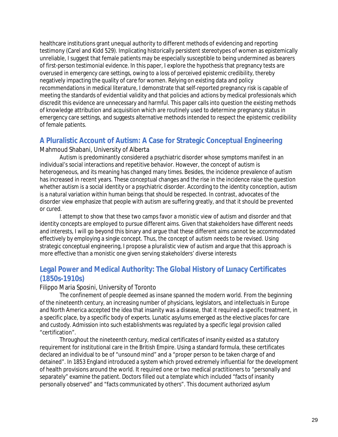healthcare institutions grant unequal authority to different methods of evidencing and reporting testimony (Carel and Kidd 529). Implicating historically persistent stereotypes of women as epistemically unreliable, I suggest that female patients may be especially susceptible to being undermined as bearers of first-person testimonial evidence. In this paper, I explore the hypothesis that pregnancy tests are overused in emergency care settings, owing to a loss of perceived epistemic credibility, thereby negatively impacting the quality of care for women. Relying on existing data and policy recommendations in medical literature, I demonstrate that self-reported pregnancy risk is capable of meeting the standards of evidential validity and that policies and actions by medical professionals which discredit this evidence are unnecessary and harmful. This paper calls into question the existing methods of knowledge attribution and acquisition which are routinely used to determine pregnancy status in emergency care settings, and suggests alternative methods intended to respect the epistemic credibility of female patients.

## **A Pluralistic Account of Autism: A Case for Strategic Conceptual Engineering**

#### Mahmoud Shabani, University of Alberta

Autism is predominantly considered a psychiatric disorder whose symptoms manifest in an individual's social interactions and repetitive behavior. However, the concept of autism is heterogeneous, and its meaning has changed many times. Besides, the incidence prevalence of autism has increased in recent years. These conceptual changes and the rise in the incidence raise the question whether autism is a social identity or a psychiatric disorder. According to the identity conception, autism is a natural variation within human beings that should be respected. In contrast, advocates of the disorder view emphasize that people with autism are suffering greatly, and that it should be prevented or cured.

I attempt to show that these two camps favor a monistic view of autism and disorder and that identity concepts are employed to pursue different aims. Given that stakeholders have different needs and interests, I will go beyond this binary and argue that these different aims cannot be accommodated effectively by employing a single concept. Thus, the concept of autism needs to be revised. Using strategic conceptual engineering, I propose a pluralistic view of autism and argue that this approach is more effective than a monistic one given serving stakeholders' diverse interests

## **Legal Power and Medical Authority: The Global History of Lunacy Certificates (1850s-1910s)**

#### Filippo Maria Sposini, University of Toronto

The confinement of people deemed as insane spanned the modern world. From the beginning of the nineteenth century, an increasing number of physicians, legislators, and intellectuals in Europe and North America accepted the idea that insanity was a disease, that it required a specific treatment, in a specific place, by a specific body of experts. Lunatic asylums emerged as the elective places for care and custody. Admission into such establishments was regulated by a specific legal provision called "certification".

Throughout the nineteenth century, medical certificates of insanity existed as a statutory requirement for institutional care in the British Empire. Using a standard formula, these certificates declared an individual to be of "unsound mind" and a "proper person to be taken charge of and detained". In 1853 England introduced a system which proved extremely influential for the development of health provisions around the world. It required one or two medical practitioners to "personally and separately" examine the patient. Doctors filled out a template which included "facts of insanity personally observed" and "facts communicated by others". This document authorized asylum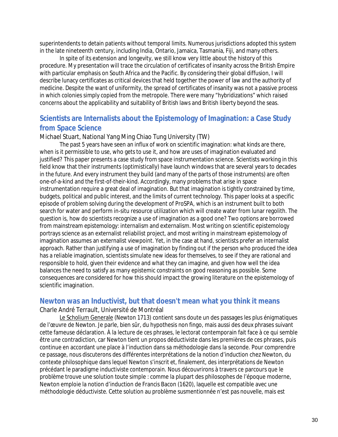superintendents to detain patients without temporal limits. Numerous jurisdictions adopted this system in the late nineteenth century, including India, Ontario, Jamaica, Tasmania, Fiji, and many others.

In spite of its extension and longevity, we still know very little about the history of this procedure. My presentation will trace the circulation of certificates of insanity across the British Empire with particular emphasis on South Africa and the Pacific. By considering their global diffusion, I will describe lunacy certificates as critical devices that held together the power of law and the authority of medicine. Despite the want of uniformity, the spread of certificates of insanity was not a passive process in which colonies simply copied from the metropole. There were many "hybridizations" which raised concerns about the applicability and suitability of British laws and British liberty beyond the seas.

## **Scientists are Internalists about the Epistemology of Imagination: a Case Study from Space Science**

#### Michael Stuart, National Yang Ming Chiao Tung University (TW)

The past 5 years have seen an influx of work on scientific imagination: what kinds are there, when is it permissible to use, who gets to use it, and how are uses of imagination evaluated and justified? This paper presents a case study from space instrumentation science. Scientists working in this field know that their instruments (optimistically) have launch windows that are several years to decades in the future. And every instrument they build (and many of the parts of those instruments) are often one-of-a-kind and the first-of-their-kind. Accordingly, many problems that arise in space instrumentation require a great deal of imagination. But that imagination is tightly constrained by time, budgets, political and public interest, and the limits of current technology. This paper looks at a specific episode of problem solving during the development of ProSPA, which is an instrument built to both search for water and perform in-situ resource utilization which will create water from lunar regolith. The question is, how do scientists recognize a use of imagination as a good one? Two options are borrowed from mainstream epistemology: internalism and externalism. Most writing on scientific epistemology portrays science as an externalist reliabilist project, and most writing in mainstream epistemology of imagination assumes an externalist viewpoint. Yet, in the case at hand, scientists prefer an internalist approach. Rather than justifying a use of imagination by finding out if the person who produced the idea has a reliable imagination, scientists simulate new ideas for themselves, to see if they are rational and responsible to hold, given their evidence and what they can imagine, and given how well the idea balances the need to satisfy as many epistemic constraints on good reasoning as possible. Some consequences are considered for how this should impact the growing literature on the epistemology of scientific imagination.

## **Newton was an Inductivist, but that doesn't mean what you think it means**

Charle André Terrault, Université de Montréal

Le Scholium Generale (Newton 1713) contient sans doute un des passages les plus énigmatiques de l'œuvre de Newton. Je parle, bien sûr, du hypothesis non fingo, mais aussi des deux phrases suivant cette fameuse déclaration. À la lecture de ces phrases, le lectorat contemporain fait face à ce qui semble être une contradiction, car Newton tient un propos déductiviste dans les premières de ces phrases, puis continue en accordant une place à l'induction dans sa méthodologie dans la seconde. Pour comprendre ce passage, nous discuterons des différentes interprétations de la notion d'induction chez Newton, du contexte philosophique dans lequel Newton s'inscrit et, finalement, des interprétations de Newton précédant le paradigme inductiviste contemporain. Nous découvrirons à travers ce parcours que le problème trouve une solution toute simple : comme la plupart des philosophes de l'époque moderne, Newton emploie la notion d'induction de Francis Bacon (1620), laquelle est compatible avec une méthodologie déductiviste. Cette solution au problème susmentionnée n'est pas nouvelle, mais est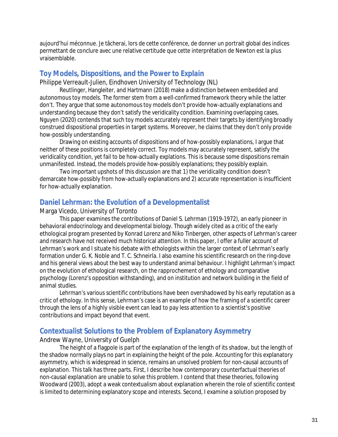aujourd'hui méconnue. Je tâcherai, lors de cette conférence, de donner un portrait global des indices permettant de conclure avec une relative certitude que cette interprétation de Newton est la plus vraisemblable.

#### **Toy Models, Dispositions, and the Power to Explain**

Philippe Verreault-Julien, Eindhoven University of Technology (NL)

Reutlinger, Hangleiter, and Hartmann (2018) make a distinction between embedded and autonomous toy models. The former stem from a well-confirmed framework theory while the latter don't. They argue that some autonomous toy models don't provide how-actually explanations and understanding because they don't satisfy the veridicality condition. Examining overlapping cases, Nguyen (2020) contends that such toy models accurately represent their targets by identifying broadly construed dispositional properties in target systems. Moreover, he claims that they don't only provide how-possibly understanding.

Drawing on existing accounts of dispositions and of how-possibly explanations, I argue that neither of these positions is completely correct. Toy models may accurately represent, satisfy the veridicality condition, yet fail to be how-actually explations. This is because some dispositions remain unmanifested. Instead, the models provide how-possibly explanations; they possibly explain.

Two important upshots of this discussion are that 1) the veridicality condition doesn't demarcate how-possibly from how-actually explanations and 2) accurate representation is insufficient for how-actually explanation.

## **Daniel Lehrman: the Evolution of a Developmentalist**

#### Marga Vicedo, University of Toronto

This paper examines the contributions of Daniel S. Lehrman (1919-1972), an early pioneer in behavioral endocrinology and developmental biology. Though widely cited as a critic of the early ethological program presented by Konrad Lorenz and Niko Tinbergen, other aspects of Lehrman's career and research have not received much historical attention. In this paper, I offer a fuller account of Lehrman's work and I situate his debate with ethologists within the larger context of Lehrman's early formation under G. K. Noble and T. C. Schneirla. I also examine his scientific research on the ring-dove and his general views about the best way to understand animal behaviour. I highlight Lehrman's impact on the evolution of ethological research, on the rapprochement of ethology and comparative psychology (Lorenz's opposition withstanding), and on institution and network building in the field of animal studies.

Lehrman's various scientific contributions have been overshadowed by his early reputation as a critic of ethology. In this sense, Lehrman's case is an example of how the framing of a scientific career through the lens of a highly visible event can lead to pay less attention to a scientist's positive contributions and impact beyond that event.

## **Contextualist Solutions to the Problem of Explanatory Asymmetry**

#### Andrew Wayne, University of Guelph

The height of a flagpole is part of the explanation of the length of its shadow, but the length of the shadow normally plays no part in explaining the height of the pole. Accounting for this explanatory asymmetry, which is widespread in science, remains an unsolved problem for non-causal accounts of explanation. This talk has three parts. First, I describe how contemporary counterfactual theories of non-causal explanation are unable to solve this problem. I contend that these theories, following Woodward (2003), adopt a weak contextualism about explanation wherein the role of scientific context is limited to determining explanatory scope and interests. Second, I examine a solution proposed by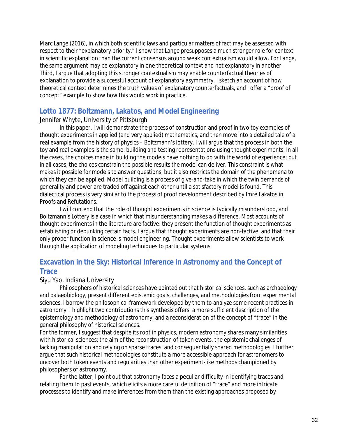Marc Lange (2016), in which both scientific laws and particular matters of fact may be assessed with respect to their "explanatory priority." I show that Lange presupposes a much stronger role for context in scientific explanation than the current consensus around weak contextualism would allow. For Lange, the same argument may be explanatory in one theoretical context and not explanatory in another. Third, I argue that adopting this stronger contextualism may enable counterfactual theories of explanation to provide a successful account of explanatory asymmetry. I sketch an account of how theoretical context determines the truth values of explanatory counterfactuals, and I offer a "proof of concept" example to show how this would work in practice.

## **Lotto 1877: Boltzmann, Lakatos, and Model Engineering**

#### Jennifer Whyte, University of Pittsburgh

In this paper, I will demonstrate the process of construction and proof in two toy examples of thought experiments in applied (and very applied) mathematics, and then move into a detailed tale of a real example from the history of physics – Boltzmann's lottery. I will argue that the process in both the toy and real examples is the same: building and testing representations using thought experiments. In all the cases, the choices made in building the models have nothing to do with the world of experience; but in all cases, the choices constrain the possible results the model can deliver. This constraint is what makes it possible for models to answer questions, but it also restricts the domain of the phenomena to which they can be applied. Model building is a process of give-and-take in which the twin demands of generality and power are traded off against each other until a satisfactory model is found. This dialectical process is very similar to the process of proof development described by Imre Lakatos in Proofs and Refutations.

I will contend that the role of thought experiments in science is typically misunderstood, and Boltzmann's Lottery is a case in which that misunderstanding makes a difference. Most accounts of thought experiments in the literature are factive: they present the function of thought experiments as establishing or debunking certain facts. I argue that thought experiments are non-factive, and that their only proper function in science is model engineering. Thought experiments allow scientists to work through the application of modeling techniques to particular systems.

## **Excavation in the Sky: Historical Inference in Astronomy and the Concept of Trace**

#### Siyu Yao, Indiana University

Philosophers of historical sciences have pointed out that historical sciences, such as archaeology and palaeobiology, present different epistemic goals, challenges, and methodologies from experimental sciences. I borrow the philosophical framework developed by them to analyze some recent practices in astronomy. I highlight two contributions this synthesis offers: a more sufficient description of the epistemology and methodology of astronomy, and a reconsideration of the concept of "trace" in the general philosophy of historical sciences.

For the former, I suggest that despite its root in physics, modern astronomy shares many similarities with historical sciences: the aim of the reconstruction of token events, the epistemic challenges of lacking manipulation and relying on sparse traces, and consequentially shared methodologies. I further argue that such historical methodologies constitute a more accessible approach for astronomers to uncover both token events and regularities than other experiment-like methods championed by philosophers of astronomy.

For the latter, I point out that astronomy faces a peculiar difficulty in identifying traces and relating them to past events, which elicits a more careful definition of "trace" and more intricate processes to identify and make inferences from them than the existing approaches proposed by